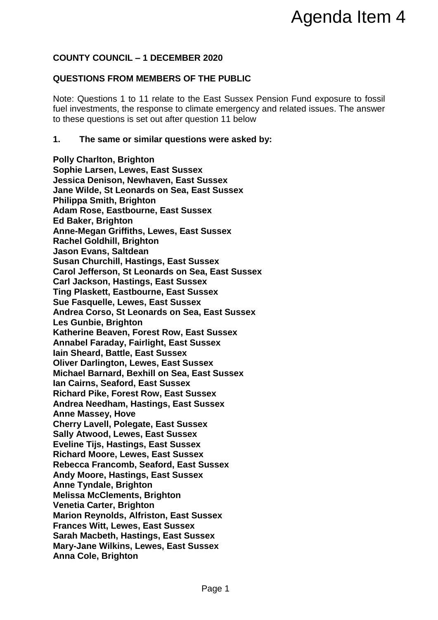# **COUNTY COUNCIL – 1 DECEMBER 2020**

## **QUESTIONS FROM MEMBERS OF THE PUBLIC**

Note: Questions 1 to 11 relate to the East Sussex Pension Fund exposure to fossil fuel investments, the response to climate emergency and related issues. The answer to these questions is set out after question 11 below

### **1. The same or similar questions were asked by:**

**Polly Charlton, Brighton Sophie Larsen, Lewes, East Sussex Jessica Denison, Newhaven, East Sussex Jane Wilde, St Leonards on Sea, East Sussex Philippa Smith, Brighton Adam Rose, Eastbourne, East Sussex Ed Baker, Brighton Anne-Megan Griffiths, Lewes, East Sussex Rachel Goldhill, Brighton Jason Evans, Saltdean Susan Churchill, Hastings, East Sussex Carol Jefferson, St Leonards on Sea, East Sussex Carl Jackson, Hastings, East Sussex Ting Plaskett, Eastbourne, East Sussex Sue Fasquelle, Lewes, East Sussex Andrea Corso, St Leonards on Sea, East Sussex Les Gunbie, Brighton Katherine Beaven, Forest Row, East Sussex Annabel Faraday, Fairlight, East Sussex Iain Sheard, Battle, East Sussex Oliver Darlington, Lewes, East Sussex Michael Barnard, Bexhill on Sea, East Sussex Ian Cairns, Seaford, East Sussex Richard Pike, Forest Row, East Sussex Andrea Needham, Hastings, East Sussex Anne Massey, Hove Cherry Lavell, Polegate, East Sussex Sally Atwood, Lewes, East Sussex Eveline Tijs, Hastings, East Sussex Richard Moore, Lewes, East Sussex Rebecca Francomb, Seaford, East Sussex Andy Moore, Hastings, East Sussex Anne Tyndale, Brighton Melissa McClements, Brighton Venetia Carter, Brighton Marion Reynolds, Alfriston, East Sussex Frances Witt, Lewes, East Sussex Sarah Macbeth, Hastings, East Sussex Mary-Jane Wilkins, Lewes, East Sussex Anna Cole, Brighton** Agenda Item 4<br>
Page 11<br>
The PUBLIC<br>
East Sussex Pension Fund exposure to fossil<br>
ate emergency and related issues. The answer<br>
sivere asked by:<br>
...<br>
...<br>
sissex<br>
st Sussex<br>
Agency<br>
Sussex<br>
East Sussex<br>
Sex<br>
Sex<br>
Sex<br>
Sex<br>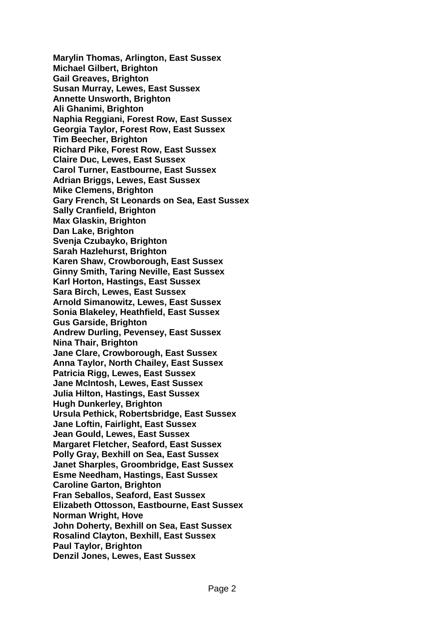**Marylin Thomas, Arlington, East Sussex Michael Gilbert, Brighton Gail Greaves, Brighton Susan Murray, Lewes, East Sussex Annette Unsworth, Brighton Ali Ghanimi, Brighton Naphia Reggiani, Forest Row, East Sussex Georgia Taylor, Forest Row, East Sussex Tim Beecher, Brighton Richard Pike, Forest Row, East Sussex Claire Duc, Lewes, East Sussex Carol Turner, Eastbourne, East Sussex Adrian Briggs, Lewes, East Sussex Mike Clemens, Brighton Gary French, St Leonards on Sea, East Sussex Sally Cranfield, Brighton Max Glaskin, Brighton Dan Lake, Brighton Svenja Czubayko, Brighton Sarah Hazlehurst, Brighton Karen Shaw, Crowborough, East Sussex Ginny Smith, Taring Neville, East Sussex Karl Horton, Hastings, East Sussex Sara Birch, Lewes, East Sussex Arnold Simanowitz, Lewes, East Sussex Sonia Blakeley, Heathfield, East Sussex Gus Garside, Brighton Andrew Durling, Pevensey, East Sussex Nina Thair, Brighton Jane Clare, Crowborough, East Sussex Anna Taylor, North Chailey, East Sussex Patricia Rigg, Lewes, East Sussex Jane McIntosh, Lewes, East Sussex Julia Hilton, Hastings, East Sussex Hugh Dunkerley, Brighton Ursula Pethick, Robertsbridge, East Sussex Jane Loftin, Fairlight, East Sussex Jean Gould, Lewes, East Sussex Margaret Fletcher, Seaford, East Sussex Polly Gray, Bexhill on Sea, East Sussex Janet Sharples, Groombridge, East Sussex Esme Needham, Hastings, East Sussex Caroline Garton, Brighton Fran Seballos, Seaford, East Sussex Elizabeth Ottosson, Eastbourne, East Sussex Norman Wright, Hove John Doherty, Bexhill on Sea, East Sussex Rosalind Clayton, Bexhill, East Sussex Paul Taylor, Brighton Denzil Jones, Lewes, East Sussex**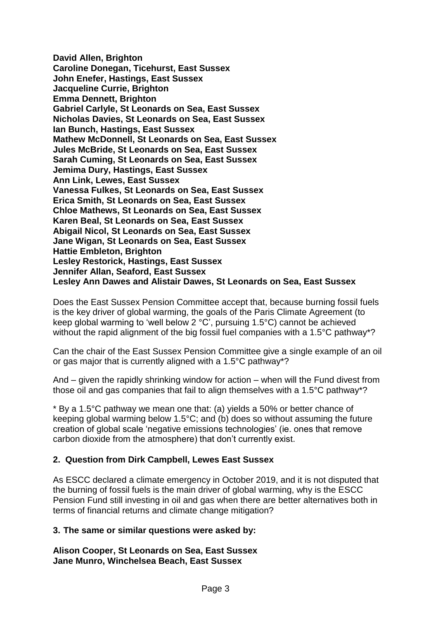**David Allen, Brighton Caroline Donegan, Ticehurst, East Sussex John Enefer, Hastings, East Sussex Jacqueline Currie, Brighton Emma Dennett, Brighton Gabriel Carlyle, St Leonards on Sea, East Sussex Nicholas Davies, St Leonards on Sea, East Sussex Ian Bunch, Hastings, East Sussex Mathew McDonnell, St Leonards on Sea, East Sussex Jules McBride, St Leonards on Sea, East Sussex Sarah Cuming, St Leonards on Sea, East Sussex Jemima Dury, Hastings, East Sussex Ann Link, Lewes, East Sussex Vanessa Fulkes, St Leonards on Sea, East Sussex Erica Smith, St Leonards on Sea, East Sussex Chloe Mathews, St Leonards on Sea, East Sussex Karen Beal, St Leonards on Sea, East Sussex Abigail Nicol, St Leonards on Sea, East Sussex Jane Wigan, St Leonards on Sea, East Sussex Hattie Embleton, Brighton Lesley Restorick, Hastings, East Sussex Jennifer Allan, Seaford, East Sussex Lesley Ann Dawes and Alistair Dawes, St Leonards on Sea, East Sussex**

Does the East Sussex Pension Committee accept that, because burning fossil fuels is the key driver of global warming, the goals of the Paris Climate Agreement (to keep global warming to 'well below 2 °C', pursuing 1.5°C) cannot be achieved without the rapid alignment of the big fossil fuel companies with a 1.5°C pathway\*?

Can the chair of the East Sussex Pension Committee give a single example of an oil or gas major that is currently aligned with a 1.5°C pathway\*?

And – given the rapidly shrinking window for action – when will the Fund divest from those oil and gas companies that fail to align themselves with a 1.5°C pathway\*?

\* By a 1.5°C pathway we mean one that: (a) yields a 50% or better chance of keeping global warming below 1.5°C; and (b) does so without assuming the future creation of global scale 'negative emissions technologies' (ie. ones that remove carbon dioxide from the atmosphere) that don't currently exist.

# **2. Question from Dirk Campbell, Lewes East Sussex**

As ESCC declared a climate emergency in October 2019, and it is not disputed that the burning of fossil fuels is the main driver of global warming, why is the ESCC Pension Fund still investing in oil and gas when there are better alternatives both in terms of financial returns and climate change mitigation?

### **3. The same or similar questions were asked by:**

**Alison Cooper, St Leonards on Sea, East Sussex Jane Munro, Winchelsea Beach, East Sussex**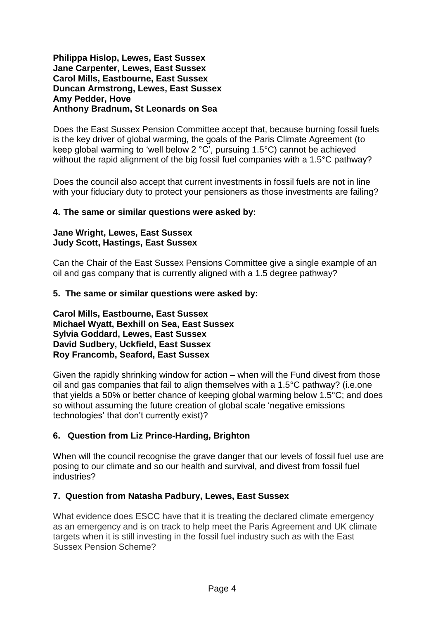#### **Philippa Hislop, Lewes, East Sussex Jane Carpenter, Lewes, East Sussex Carol Mills, Eastbourne, East Sussex Duncan Armstrong, Lewes, East Sussex Amy Pedder, Hove Anthony Bradnum, St Leonards on Sea**

Does the East Sussex Pension Committee accept that, because burning fossil fuels is the key driver of global warming, the goals of the Paris Climate Agreement (to keep global warming to 'well below 2 °C', pursuing 1.5°C) cannot be achieved without the rapid alignment of the big fossil fuel companies with a 1.5°C pathway?

Does the council also accept that current investments in fossil fuels are not in line with your fiduciary duty to protect your pensioners as those investments are failing?

### **4. The same or similar questions were asked by:**

#### **Jane Wright, Lewes, East Sussex Judy Scott, Hastings, East Sussex**

Can the Chair of the East Sussex Pensions Committee give a single example of an oil and gas company that is currently aligned with a 1.5 degree pathway?

### **5. The same or similar questions were asked by:**

**Carol Mills, Eastbourne, East Sussex Michael Wyatt, Bexhill on Sea, East Sussex Sylvia Goddard, Lewes, East Sussex David Sudbery, Uckfield, East Sussex Roy Francomb, Seaford, East Sussex**

Given the rapidly shrinking window for action – when will the Fund divest from those oil and gas companies that fail to align themselves with a 1.5°C pathway? (i.e.one that yields a 50% or better chance of keeping global warming below 1.5°C; and does so without assuming the future creation of global scale 'negative emissions technologies' that don't currently exist)?

# **6. Question from Liz Prince-Harding, Brighton**

When will the council recognise the grave danger that our levels of fossil fuel use are posing to our climate and so our health and survival, and divest from fossil fuel industries?

### **7. Question from Natasha Padbury, Lewes, East Sussex**

What evidence does ESCC have that it is treating the declared climate emergency as an emergency and is on track to help meet the Paris Agreement and UK climate targets when it is still investing in the fossil fuel industry such as with the East Sussex Pension Scheme?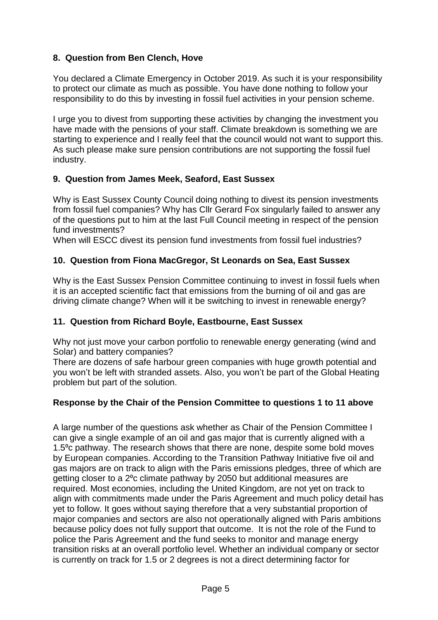# **8. Question from Ben Clench, Hove**

You declared a Climate Emergency in October 2019. As such it is your responsibility to protect our climate as much as possible. You have done nothing to follow your responsibility to do this by investing in fossil fuel activities in your pension scheme.

I urge you to divest from supporting these activities by changing the investment you have made with the pensions of your staff. Climate breakdown is something we are starting to experience and I really feel that the council would not want to support this. As such please make sure pension contributions are not supporting the fossil fuel industry.

# **9. Question from James Meek, Seaford, East Sussex**

Why is East Sussex County Council doing nothing to divest its pension investments from fossil fuel companies? Why has Cllr Gerard Fox singularly failed to answer any of the questions put to him at the last Full Council meeting in respect of the pension fund investments?

When will ESCC divest its pension fund investments from fossil fuel industries?

# **10. Question from Fiona MacGregor, St Leonards on Sea, East Sussex**

Why is the East Sussex Pension Committee continuing to invest in fossil fuels when it is an accepted scientific fact that emissions from the burning of oil and gas are driving climate change? When will it be switching to invest in renewable energy?

# **11. Question from Richard Boyle, Eastbourne, East Sussex**

Why not just move your carbon portfolio to renewable energy generating (wind and Solar) and battery companies?

There are dozens of safe harbour green companies with huge growth potential and you won't be left with stranded assets. Also, you won't be part of the Global Heating problem but part of the solution.

# **Response by the Chair of the Pension Committee to questions 1 to 11 above**

A large number of the questions ask whether as Chair of the Pension Committee I can give a single example of an oil and gas major that is currently aligned with a 1.5⁰c pathway. The research shows that there are none, despite some bold moves by European companies. According to the Transition Pathway Initiative five oil and gas majors are on track to align with the Paris emissions pledges, three of which are getting closer to a 2<sup>o</sup>c climate pathway by 2050 but additional measures are required. Most economies, including the United Kingdom, are not yet on track to align with commitments made under the Paris Agreement and much policy detail has yet to follow. It goes without saying therefore that a very substantial proportion of major companies and sectors are also not operationally aligned with Paris ambitions because policy does not fully support that outcome. It is not the role of the Fund to police the Paris Agreement and the fund seeks to monitor and manage energy transition risks at an overall portfolio level. Whether an individual company or sector is currently on track for 1.5 or 2 degrees is not a direct determining factor for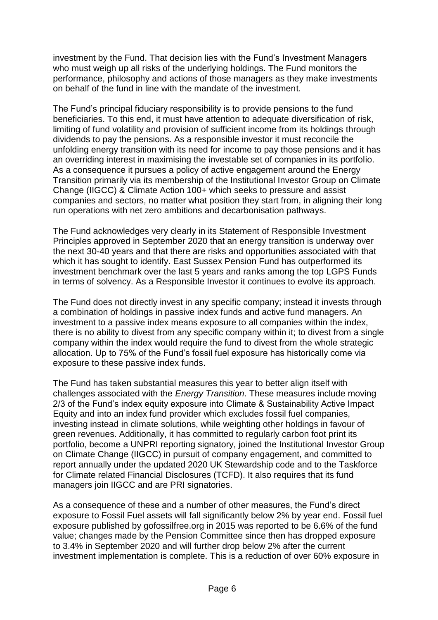investment by the Fund. That decision lies with the Fund's Investment Managers who must weigh up all risks of the underlying holdings. The Fund monitors the performance, philosophy and actions of those managers as they make investments on behalf of the fund in line with the mandate of the investment.

The Fund's principal fiduciary responsibility is to provide pensions to the fund beneficiaries. To this end, it must have attention to adequate diversification of risk, limiting of fund volatility and provision of sufficient income from its holdings through dividends to pay the pensions. As a responsible investor it must reconcile the unfolding energy transition with its need for income to pay those pensions and it has an overriding interest in maximising the investable set of companies in its portfolio. As a consequence it pursues a policy of active engagement around the Energy Transition primarily via its membership of the Institutional Investor Group on Climate Change (IIGCC) & Climate Action 100+ which seeks to pressure and assist companies and sectors, no matter what position they start from, in aligning their long run operations with net zero ambitions and decarbonisation pathways.

The Fund acknowledges very clearly in its Statement of Responsible Investment Principles approved in September 2020 that an energy transition is underway over the next 30-40 years and that there are risks and opportunities associated with that which it has sought to identify. East Sussex Pension Fund has outperformed its investment benchmark over the last 5 years and ranks among the top LGPS Funds in terms of solvency. As a Responsible Investor it continues to evolve its approach.

The Fund does not directly invest in any specific company; instead it invests through a combination of holdings in passive index funds and active fund managers. An investment to a passive index means exposure to all companies within the index, there is no ability to divest from any specific company within it; to divest from a single company within the index would require the fund to divest from the whole strategic allocation. Up to 75% of the Fund's fossil fuel exposure has historically come via exposure to these passive index funds.

The Fund has taken substantial measures this year to better align itself with challenges associated with the *Energy Transition*. These measures include moving 2/3 of the Fund's index equity exposure into Climate & Sustainability Active Impact Equity and into an index fund provider which excludes fossil fuel companies, investing instead in climate solutions, while weighting other holdings in favour of green revenues. Additionally, it has committed to regularly carbon foot print its portfolio, become a UNPRI reporting signatory, joined the Institutional Investor Group on Climate Change (IIGCC) in pursuit of company engagement, and committed to report annually under the updated 2020 UK Stewardship code and to the Taskforce for Climate related Financial Disclosures (TCFD). It also requires that its fund managers join IIGCC and are PRI signatories.

As a consequence of these and a number of other measures, the Fund's direct exposure to Fossil Fuel assets will fall significantly below 2% by year end. Fossil fuel exposure published by gofossilfree.org in 2015 was reported to be 6.6% of the fund value; changes made by the Pension Committee since then has dropped exposure to 3.4% in September 2020 and will further drop below 2% after the current investment implementation is complete. This is a reduction of over 60% exposure in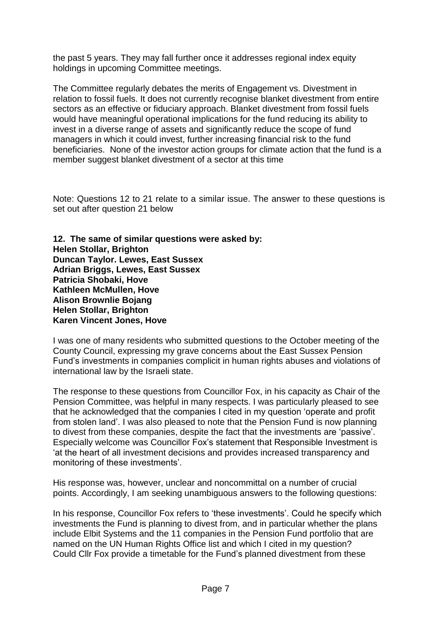the past 5 years. They may fall further once it addresses regional index equity holdings in upcoming Committee meetings.

The Committee regularly debates the merits of Engagement vs. Divestment in relation to fossil fuels. It does not currently recognise blanket divestment from entire sectors as an effective or fiduciary approach. Blanket divestment from fossil fuels would have meaningful operational implications for the fund reducing its ability to invest in a diverse range of assets and significantly reduce the scope of fund managers in which it could invest, further increasing financial risk to the fund beneficiaries. None of the investor action groups for climate action that the fund is a member suggest blanket divestment of a sector at this time

Note: Questions 12 to 21 relate to a similar issue. The answer to these questions is set out after question 21 below

**12. The same of similar questions were asked by: Helen Stollar, Brighton Duncan Taylor. Lewes, East Sussex Adrian Briggs, Lewes, East Sussex Patricia Shobaki, Hove Kathleen McMullen, Hove Alison Brownlie Bojang Helen Stollar, Brighton Karen Vincent Jones, Hove**

I was one of many residents who submitted questions to the October meeting of the County Council, expressing my grave concerns about the East Sussex Pension Fund's investments in companies complicit in human rights abuses and violations of international law by the Israeli state.

The response to these questions from Councillor Fox, in his capacity as Chair of the Pension Committee, was helpful in many respects. I was particularly pleased to see that he acknowledged that the companies I cited in my question 'operate and profit from stolen land'. I was also pleased to note that the Pension Fund is now planning to divest from these companies, despite the fact that the investments are 'passive'. Especially welcome was Councillor Fox's statement that Responsible Investment is 'at the heart of all investment decisions and provides increased transparency and monitoring of these investments'.

His response was, however, unclear and noncommittal on a number of crucial points. Accordingly, I am seeking unambiguous answers to the following questions:

In his response, Councillor Fox refers to 'these investments'. Could he specify which investments the Fund is planning to divest from, and in particular whether the plans include Elbit Systems and the 11 companies in the Pension Fund portfolio that are named on the UN Human Rights Office list and which I cited in my question? Could Cllr Fox provide a timetable for the Fund's planned divestment from these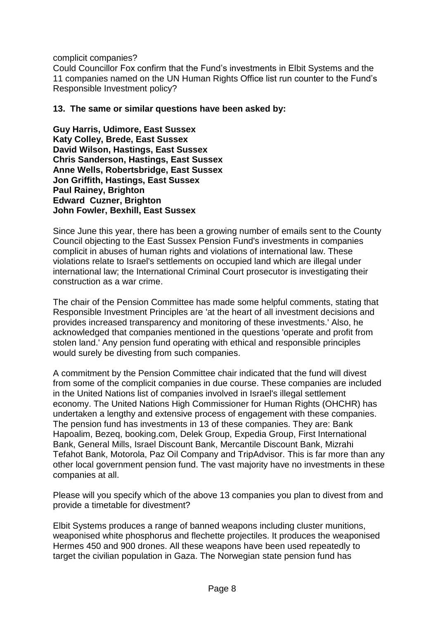complicit companies?

Could Councillor Fox confirm that the Fund's investments in Elbit Systems and the 11 companies named on the UN Human Rights Office list run counter to the Fund's Responsible Investment policy?

### **13. The same or similar questions have been asked by:**

**Guy Harris, Udimore, East Sussex Katy Colley, Brede, East Sussex David Wilson, Hastings, East Sussex Chris Sanderson, Hastings, East Sussex Anne Wells, Robertsbridge, East Sussex Jon Griffith, Hastings, East Sussex Paul Rainey, Brighton Edward Cuzner, Brighton John Fowler, Bexhill, East Sussex**

Since June this year, there has been a growing number of emails sent to the County Council objecting to the East Sussex Pension Fund's investments in companies complicit in abuses of human rights and violations of international law. These violations relate to Israel's settlements on occupied land which are illegal under international law; the International Criminal Court prosecutor is investigating their construction as a war crime.

The chair of the Pension Committee has made some helpful comments, stating that Responsible Investment Principles are 'at the heart of all investment decisions and provides increased transparency and monitoring of these investments.' Also, he acknowledged that companies mentioned in the questions 'operate and profit from stolen land.' Any pension fund operating with ethical and responsible principles would surely be divesting from such companies.

A commitment by the Pension Committee chair indicated that the fund will divest from some of the complicit companies in due course. These companies are included in the United Nations list of companies involved in Israel's illegal settlement economy. The United Nations High Commissioner for Human Rights (OHCHR) has undertaken a lengthy and extensive process of engagement with these companies. The pension fund has investments in 13 of these companies. They are: Bank Hapoalim, Bezeq, booking.com, Delek Group, Expedia Group, First International Bank, General Mills, Israel Discount Bank, Mercantile Discount Bank, Mizrahi Tefahot Bank, Motorola, Paz Oil Company and TripAdvisor. This is far more than any other local government pension fund. The vast majority have no investments in these companies at all.

Please will you specify which of the above 13 companies you plan to divest from and provide a timetable for divestment?

Elbit Systems produces a range of banned weapons including cluster munitions, weaponised white phosphorus and flechette projectiles. It produces the weaponised Hermes 450 and 900 drones. All these weapons have been used repeatedly to target the civilian population in Gaza. The Norwegian state pension fund has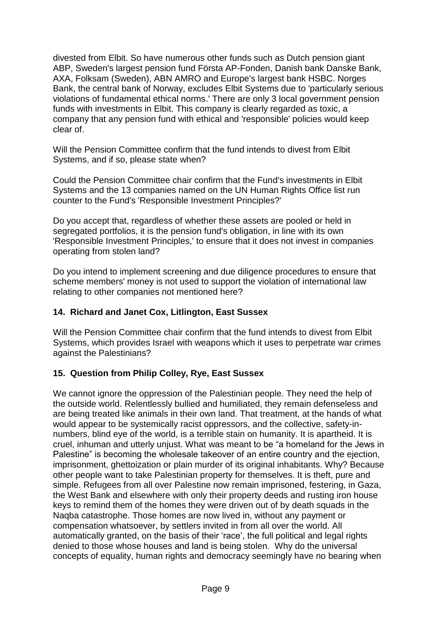divested from Elbit. So have numerous other funds such as Dutch pension giant ABP, Sweden's largest pension fund Första AP-Fonden, Danish bank Danske Bank, AXA, Folksam (Sweden), ABN AMRO and Europe's largest bank HSBC. Norges Bank, the central bank of Norway, excludes Elbit Systems due to 'particularly serious violations of fundamental ethical norms.' There are only 3 local government pension funds with investments in Elbit. This company is clearly regarded as toxic, a company that any pension fund with ethical and 'responsible' policies would keep clear of.

Will the Pension Committee confirm that the fund intends to divest from Elbit Systems, and if so, please state when?

Could the Pension Committee chair confirm that the Fund's investments in Elbit Systems and the 13 companies named on the UN Human Rights Office list run counter to the Fund's 'Responsible Investment Principles?'

Do you accept that, regardless of whether these assets are pooled or held in segregated portfolios, it is the pension fund's obligation, in line with its own 'Responsible Investment Principles,' to ensure that it does not invest in companies operating from stolen land?

Do you intend to implement screening and due diligence procedures to ensure that scheme members' money is not used to support the violation of international law relating to other companies not mentioned here?

# **14. Richard and Janet Cox, Litlington, East Sussex**

Will the Pension Committee chair confirm that the fund intends to divest from Elbit Systems, which provides Israel with weapons which it uses to perpetrate war crimes against the Palestinians?

# **15. Question from Philip Colley, Rye, East Sussex**

We cannot ignore the oppression of the Palestinian people. They need the help of the outside world. Relentlessly bullied and humiliated, they remain defenseless and are being treated like animals in their own land. That treatment, at the hands of what would appear to be systemically racist oppressors, and the collective, safety-innumbers, blind eye of the world, is a terrible stain on humanity. It is apartheid. It is cruel, inhuman and utterly unjust. What was meant to be "a homeland for the Jews in Palestine" is becoming the wholesale takeover of an entire country and the ejection, imprisonment, ghettoization or plain murder of its original inhabitants. Why? Because other people want to take Palestinian property for themselves. It is theft, pure and simple. Refugees from all over Palestine now remain imprisoned, festering, in Gaza, the West Bank and elsewhere with only their property deeds and rusting iron house keys to remind them of the homes they were driven out of by death squads in the Naqba catastrophe. Those homes are now lived in, without any payment or compensation whatsoever, by settlers invited in from all over the world. All automatically granted, on the basis of their 'race', the full political and legal rights denied to those whose houses and land is being stolen. Why do the universal concepts of equality, human rights and democracy seemingly have no bearing when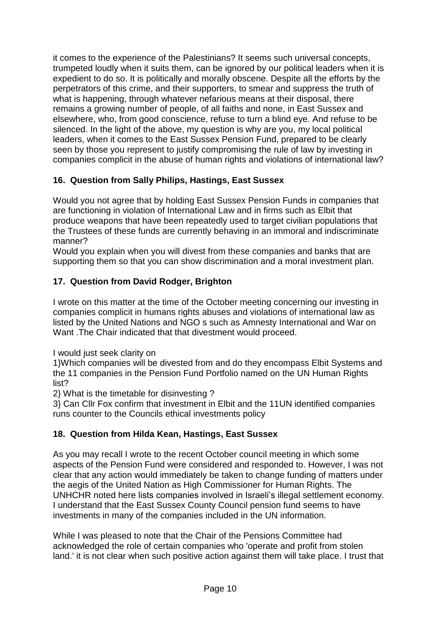it comes to the experience of the Palestinians? It seems such universal concepts, trumpeted loudly when it suits them, can be ignored by our political leaders when it is expedient to do so. It is politically and morally obscene. Despite all the efforts by the perpetrators of this crime, and their supporters, to smear and suppress the truth of what is happening, through whatever nefarious means at their disposal, there remains a growing number of people, of all faiths and none, in East Sussex and elsewhere, who, from good conscience, refuse to turn a blind eye. And refuse to be silenced. In the light of the above, my question is why are you, my local political leaders, when it comes to the East Sussex Pension Fund, prepared to be clearly seen by those you represent to justify compromising the rule of law by investing in companies complicit in the abuse of human rights and violations of international law?

# **16. Question from Sally Philips, Hastings, East Sussex**

Would you not agree that by holding East Sussex Pension Funds in companies that are functioning in violation of International Law and in firms such as Elbit that produce weapons that have been repeatedly used to target civilian populations that the Trustees of these funds are currently behaving in an immoral and indiscriminate manner?

Would you explain when you will divest from these companies and banks that are supporting them so that you can show discrimination and a moral investment plan.

# **17. Question from David Rodger, Brighton**

I wrote on this matter at the time of the October meeting concerning our investing in companies complicit in humans rights abuses and violations of international law as listed by the United Nations and NGO s such as Amnesty International and War on Want .The Chair indicated that that divestment would proceed.

I would just seek clarity on

1}Which companies will be divested from and do they encompass Elbit Systems and the 11 companies in the Pension Fund Portfolio named on the UN Human Rights list?

2} What is the timetable for disinvesting ?

3} Can Cllr Fox confirm that investment in Elbit and the 11UN identified companies runs counter to the Councils ethical investments policy

# **18. Question from Hilda Kean, Hastings, East Sussex**

As you may recall I wrote to the recent October council meeting in which some aspects of the Pension Fund were considered and responded to. However, I was not clear that any action would immediately be taken to change funding of matters under the aegis of the United Nation as High Commissioner for Human Rights. The UNHCHR noted here lists companies involved in Israeli's illegal settlement economy. I understand that the East Sussex County Council pension fund seems to have investments in many of the companies included in the UN information.

While I was pleased to note that the Chair of the Pensions Committee had acknowledged the role of certain companies who 'operate and profit from stolen land.' it is not clear when such positive action against them will take place. I trust that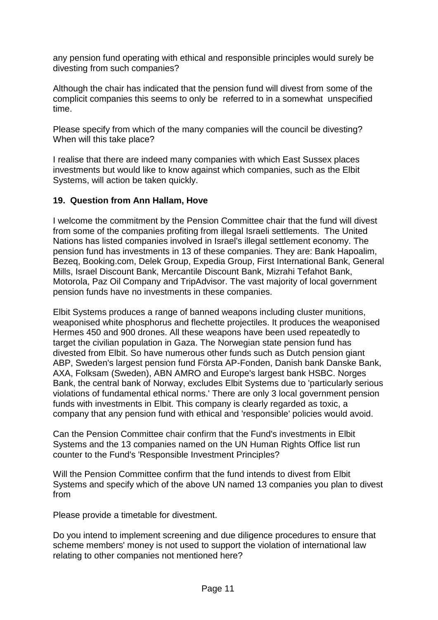any pension fund operating with ethical and responsible principles would surely be divesting from such companies?

Although the chair has indicated that the pension fund will divest from some of the complicit companies this seems to only be referred to in a somewhat unspecified time.

Please specify from which of the many companies will the council be divesting? When will this take place?

I realise that there are indeed many companies with which East Sussex places investments but would like to know against which companies, such as the Elbit Systems, will action be taken quickly.

## **19. Question from Ann Hallam, Hove**

I welcome the commitment by the Pension Committee chair that the fund will divest from some of the companies profiting from illegal Israeli settlements. The United Nations has listed companies involved in Israel's illegal settlement economy. The pension fund has investments in 13 of these companies. They are: Bank Hapoalim, Bezeq, Booking.com, Delek Group, Expedia Group, First International Bank, General Mills, Israel Discount Bank, Mercantile Discount Bank, Mizrahi Tefahot Bank, Motorola, Paz Oil Company and TripAdvisor. The vast majority of local government pension funds have no investments in these companies.

Elbit Systems produces a range of banned weapons including cluster munitions, weaponised white phosphorus and flechette projectiles. It produces the weaponised Hermes 450 and 900 drones. All these weapons have been used repeatedly to target the civilian population in Gaza. The Norwegian state pension fund has divested from Elbit. So have numerous other funds such as Dutch pension giant ABP, Sweden's largest pension fund Första AP-Fonden, Danish bank Danske Bank, AXA, Folksam (Sweden), ABN AMRO and Europe's largest bank HSBC. Norges Bank, the central bank of Norway, excludes Elbit Systems due to 'particularly serious violations of fundamental ethical norms.' There are only 3 local government pension funds with investments in Elbit. This company is clearly regarded as toxic, a company that any pension fund with ethical and 'responsible' policies would avoid.

Can the Pension Committee chair confirm that the Fund's investments in Elbit Systems and the 13 companies named on the UN Human Rights Office list run counter to the Fund's 'Responsible Investment Principles?

Will the Pension Committee confirm that the fund intends to divest from Elbit Systems and specify which of the above UN named 13 companies you plan to divest from

Please provide a timetable for divestment.

Do you intend to implement screening and due diligence procedures to ensure that scheme members' money is not used to support the violation of international law relating to other companies not mentioned here?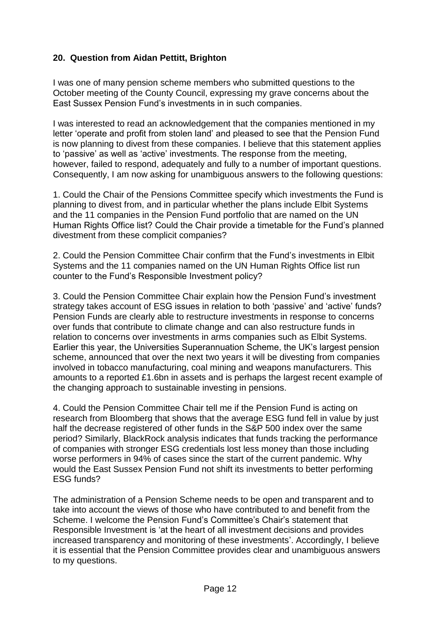# **20. Question from Aidan Pettitt, Brighton**

I was one of many pension scheme members who submitted questions to the October meeting of the County Council, expressing my grave concerns about the East Sussex Pension Fund's investments in in such companies.

I was interested to read an acknowledgement that the companies mentioned in my letter 'operate and profit from stolen land' and pleased to see that the Pension Fund is now planning to divest from these companies. I believe that this statement applies to 'passive' as well as 'active' investments. The response from the meeting, however, failed to respond, adequately and fully to a number of important questions. Consequently, I am now asking for unambiguous answers to the following questions:

1. Could the Chair of the Pensions Committee specify which investments the Fund is planning to divest from, and in particular whether the plans include Elbit Systems and the 11 companies in the Pension Fund portfolio that are named on the UN Human Rights Office list? Could the Chair provide a timetable for the Fund's planned divestment from these complicit companies?

2. Could the Pension Committee Chair confirm that the Fund's investments in Elbit Systems and the 11 companies named on the UN Human Rights Office list run counter to the Fund's Responsible Investment policy?

3. Could the Pension Committee Chair explain how the Pension Fund's investment strategy takes account of ESG issues in relation to both 'passive' and 'active' funds? Pension Funds are clearly able to restructure investments in response to concerns over funds that contribute to climate change and can also restructure funds in relation to concerns over investments in arms companies such as Elbit Systems. Earlier this year, the Universities Superannuation Scheme, the UK's largest pension scheme, announced that over the next two years it will be divesting from companies involved in tobacco manufacturing, coal mining and weapons manufacturers. This amounts to a reported £1.6bn in assets and is perhaps the largest recent example of the changing approach to sustainable investing in pensions.

4. Could the Pension Committee Chair tell me if the Pension Fund is acting on research from Bloomberg that shows that the average ESG fund fell in value by just half the decrease registered of other funds in the S&P 500 index over the same period? Similarly, BlackRock analysis indicates that funds tracking the performance of companies with stronger ESG credentials lost less money than those including worse performers in 94% of cases since the start of the current pandemic. Why would the East Sussex Pension Fund not shift its investments to better performing ESG funds?

The administration of a Pension Scheme needs to be open and transparent and to take into account the views of those who have contributed to and benefit from the Scheme. I welcome the Pension Fund's Committee's Chair's statement that Responsible Investment is 'at the heart of all investment decisions and provides increased transparency and monitoring of these investments'. Accordingly, I believe it is essential that the Pension Committee provides clear and unambiguous answers to my questions.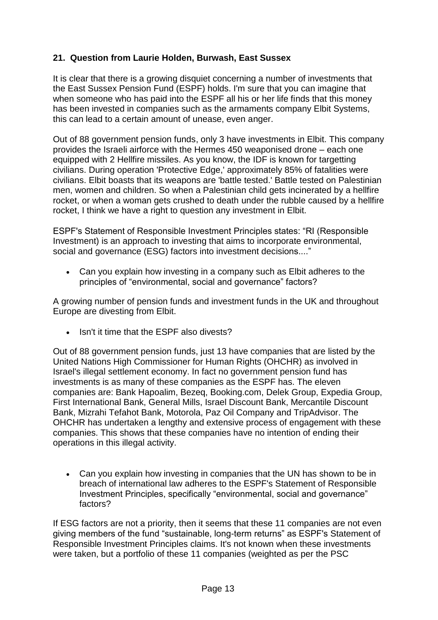# **21. Question from Laurie Holden, Burwash, East Sussex**

It is clear that there is a growing disquiet concerning a number of investments that the East Sussex Pension Fund (ESPF) holds. I'm sure that you can imagine that when someone who has paid into the ESPF all his or her life finds that this money has been invested in companies such as the armaments company Elbit Systems, this can lead to a certain amount of unease, even anger.

Out of 88 government pension funds, only 3 have investments in Elbit. This company provides the Israeli airforce with the Hermes 450 weaponised drone – each one equipped with 2 Hellfire missiles. As you know, the IDF is known for targetting civilians. During operation 'Protective Edge,' approximately 85% of fatalities were civilians. Elbit boasts that its weapons are 'battle tested.' Battle tested on Palestinian men, women and children. So when a Palestinian child gets incinerated by a hellfire rocket, or when a woman gets crushed to death under the rubble caused by a hellfire rocket, I think we have a right to question any investment in Elbit.

ESPF's Statement of Responsible Investment Principles states: "RI (Responsible Investment) is an approach to investing that aims to incorporate environmental, social and governance (ESG) factors into investment decisions...."

 Can you explain how investing in a company such as Elbit adheres to the principles of "environmental, social and governance" factors?

A growing number of pension funds and investment funds in the UK and throughout Europe are divesting from Elbit.

• Isn't it time that the ESPF also divests?

Out of 88 government pension funds, just 13 have companies that are listed by the United Nations High Commissioner for Human Rights (OHCHR) as involved in Israel's illegal settlement economy. In fact no government pension fund has investments is as many of these companies as the ESPF has. The eleven companies are: Bank Hapoalim, Bezeq, Booking.com, Delek Group, Expedia Group, First International Bank, General Mills, Israel Discount Bank, Mercantile Discount Bank, Mizrahi Tefahot Bank, Motorola, Paz Oil Company and TripAdvisor. The OHCHR has undertaken a lengthy and extensive process of engagement with these companies. This shows that these companies have no intention of ending their operations in this illegal activity.

 Can you explain how investing in companies that the UN has shown to be in breach of international law adheres to the ESPF's Statement of Responsible Investment Principles, specifically "environmental, social and governance" factors?

If ESG factors are not a priority, then it seems that these 11 companies are not even giving members of the fund "sustainable, long-term returns" as ESPF's Statement of Responsible Investment Principles claims. It's not known when these investments were taken, but a portfolio of these 11 companies (weighted as per the PSC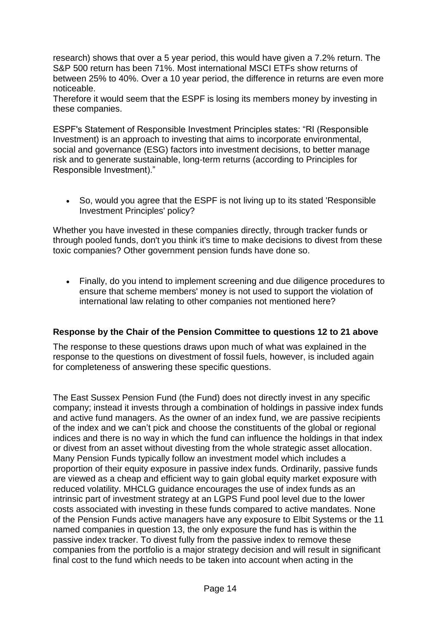research) shows that over a 5 year period, this would have given a 7.2% return. The S&P 500 return has been 71%. Most international MSCI ETFs show returns of between 25% to 40%. Over a 10 year period, the difference in returns are even more noticeable.

Therefore it would seem that the ESPF is losing its members money by investing in these companies.

ESPF's Statement of Responsible Investment Principles states: "RI (Responsible Investment) is an approach to investing that aims to incorporate environmental, social and governance (ESG) factors into investment decisions, to better manage risk and to generate sustainable, long-term returns (according to Principles for Responsible Investment)."

 So, would you agree that the ESPF is not living up to its stated 'Responsible Investment Principles' policy?

Whether you have invested in these companies directly, through tracker funds or through pooled funds, don't you think it's time to make decisions to divest from these toxic companies? Other government pension funds have done so.

 Finally, do you intend to implement screening and due diligence procedures to ensure that scheme members' money is not used to support the violation of international law relating to other companies not mentioned here?

# **Response by the Chair of the Pension Committee to questions 12 to 21 above**

The response to these questions draws upon much of what was explained in the response to the questions on divestment of fossil fuels, however, is included again for completeness of answering these specific questions.

The East Sussex Pension Fund (the Fund) does not directly invest in any specific company; instead it invests through a combination of holdings in passive index funds and active fund managers. As the owner of an index fund, we are passive recipients of the index and we can't pick and choose the constituents of the global or regional indices and there is no way in which the fund can influence the holdings in that index or divest from an asset without divesting from the whole strategic asset allocation. Many Pension Funds typically follow an investment model which includes a proportion of their equity exposure in passive index funds. Ordinarily, passive funds are viewed as a cheap and efficient way to gain global equity market exposure with reduced volatility. MHCLG guidance encourages the use of index funds as an intrinsic part of investment strategy at an LGPS Fund pool level due to the lower costs associated with investing in these funds compared to active mandates. None of the Pension Funds active managers have any exposure to Elbit Systems or the 11 named companies in question 13, the only exposure the fund has is within the passive index tracker. To divest fully from the passive index to remove these companies from the portfolio is a major strategy decision and will result in significant final cost to the fund which needs to be taken into account when acting in the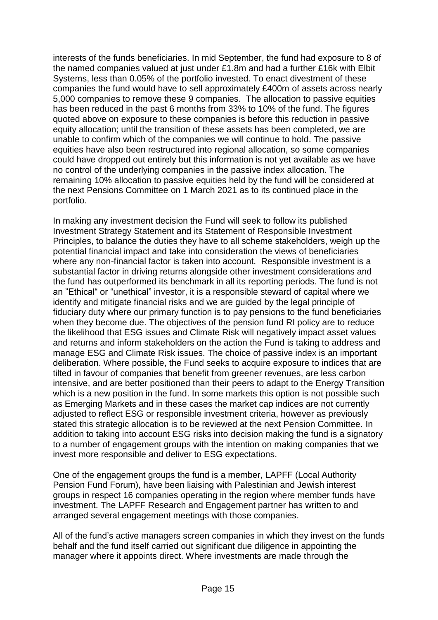interests of the funds beneficiaries. In mid September, the fund had exposure to 8 of the named companies valued at just under £1.8m and had a further £16k with Elbit Systems, less than 0.05% of the portfolio invested. To enact divestment of these companies the fund would have to sell approximately £400m of assets across nearly 5,000 companies to remove these 9 companies. The allocation to passive equities has been reduced in the past 6 months from 33% to 10% of the fund. The figures quoted above on exposure to these companies is before this reduction in passive equity allocation; until the transition of these assets has been completed, we are unable to confirm which of the companies we will continue to hold. The passive equities have also been restructured into regional allocation, so some companies could have dropped out entirely but this information is not yet available as we have no control of the underlying companies in the passive index allocation. The remaining 10% allocation to passive equities held by the fund will be considered at the next Pensions Committee on 1 March 2021 as to its continued place in the portfolio.

In making any investment decision the Fund will seek to follow its published Investment Strategy Statement and its Statement of Responsible Investment Principles, to balance the duties they have to all scheme stakeholders, weigh up the potential financial impact and take into consideration the views of beneficiaries where any non-financial factor is taken into account. Responsible investment is a substantial factor in driving returns alongside other investment considerations and the fund has outperformed its benchmark in all its reporting periods. The fund is not an "Ethical" or "unethical" investor, it is a responsible steward of capital where we identify and mitigate financial risks and we are guided by the legal principle of fiduciary duty where our primary function is to pay pensions to the fund beneficiaries when they become due. The objectives of the pension fund RI policy are to reduce the likelihood that ESG issues and Climate Risk will negatively impact asset values and returns and inform stakeholders on the action the Fund is taking to address and manage ESG and Climate Risk issues. The choice of passive index is an important deliberation. Where possible, the Fund seeks to acquire exposure to indices that are tilted in favour of companies that benefit from greener revenues, are less carbon intensive, and are better positioned than their peers to adapt to the Energy Transition which is a new position in the fund. In some markets this option is not possible such as Emerging Markets and in these cases the market cap indices are not currently adjusted to reflect ESG or responsible investment criteria, however as previously stated this strategic allocation is to be reviewed at the next Pension Committee. In addition to taking into account ESG risks into decision making the fund is a signatory to a number of engagement groups with the intention on making companies that we invest more responsible and deliver to ESG expectations.

One of the engagement groups the fund is a member, LAPFF (Local Authority Pension Fund Forum), have been liaising with Palestinian and Jewish interest groups in respect 16 companies operating in the region where member funds have investment. The LAPFF Research and Engagement partner has written to and arranged several engagement meetings with those companies.

All of the fund's active managers screen companies in which they invest on the funds behalf and the fund itself carried out significant due diligence in appointing the manager where it appoints direct. Where investments are made through the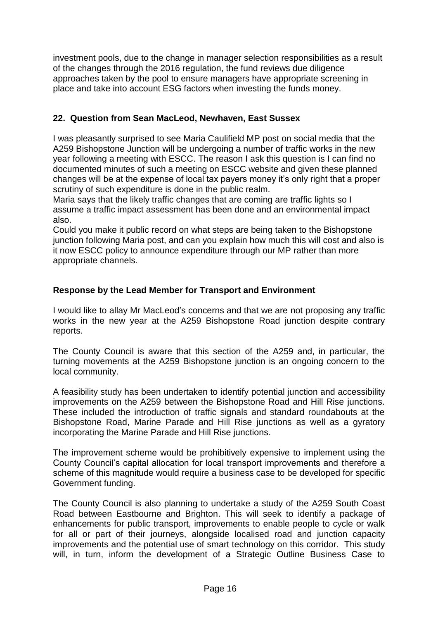investment pools, due to the change in manager selection responsibilities as a result of the changes through the 2016 regulation, the fund reviews due diligence approaches taken by the pool to ensure managers have appropriate screening in place and take into account ESG factors when investing the funds money.

# **22. Question from Sean MacLeod, Newhaven, East Sussex**

I was pleasantly surprised to see Maria Caulifield MP post on social media that the A259 Bishopstone Junction will be undergoing a number of traffic works in the new year following a meeting with ESCC. The reason I ask this question is I can find no documented minutes of such a meeting on ESCC website and given these planned changes will be at the expense of local tax payers money it's only right that a proper scrutiny of such expenditure is done in the public realm.

Maria says that the likely traffic changes that are coming are traffic lights so I assume a traffic impact assessment has been done and an environmental impact also.

Could you make it public record on what steps are being taken to the Bishopstone junction following Maria post, and can you explain how much this will cost and also is it now ESCC policy to announce expenditure through our MP rather than more appropriate channels.

# **Response by the Lead Member for Transport and Environment**

I would like to allay Mr MacLeod's concerns and that we are not proposing any traffic works in the new year at the A259 Bishopstone Road junction despite contrary reports.

The County Council is aware that this section of the A259 and, in particular, the turning movements at the A259 Bishopstone junction is an ongoing concern to the local community.

A feasibility study has been undertaken to identify potential junction and accessibility improvements on the A259 between the Bishopstone Road and Hill Rise junctions. These included the introduction of traffic signals and standard roundabouts at the Bishopstone Road, Marine Parade and Hill Rise junctions as well as a gyratory incorporating the Marine Parade and Hill Rise junctions.

The improvement scheme would be prohibitively expensive to implement using the County Council's capital allocation for local transport improvements and therefore a scheme of this magnitude would require a business case to be developed for specific Government funding.

The County Council is also planning to undertake a study of the A259 South Coast Road between Eastbourne and Brighton. This will seek to identify a package of enhancements for public transport, improvements to enable people to cycle or walk for all or part of their journeys, alongside localised road and junction capacity improvements and the potential use of smart technology on this corridor. This study will, in turn, inform the development of a Strategic Outline Business Case to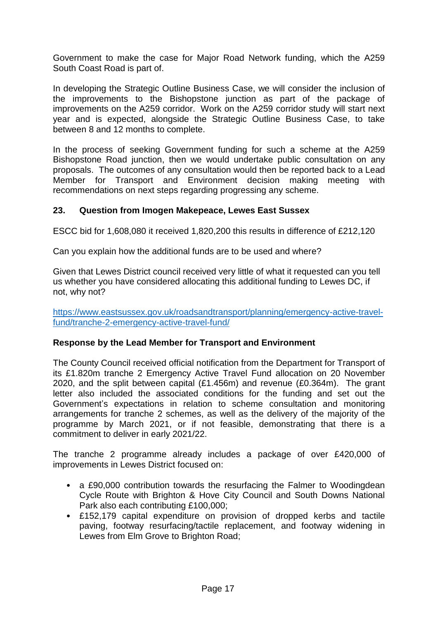Government to make the case for Major Road Network funding, which the A259 South Coast Road is part of.

In developing the Strategic Outline Business Case, we will consider the inclusion of the improvements to the Bishopstone junction as part of the package of improvements on the A259 corridor. Work on the A259 corridor study will start next year and is expected, alongside the Strategic Outline Business Case, to take between 8 and 12 months to complete.

In the process of seeking Government funding for such a scheme at the A259 Bishopstone Road junction, then we would undertake public consultation on any proposals. The outcomes of any consultation would then be reported back to a Lead Member for Transport and Environment decision making meeting with recommendations on next steps regarding progressing any scheme.

## **23. Question from Imogen Makepeace, Lewes East Sussex**

ESCC bid for 1,608,080 it received 1,820,200 this results in difference of £212,120

Can you explain how the additional funds are to be used and where?

Given that Lewes District council received very little of what it requested can you tell us whether you have considered allocating this additional funding to Lewes DC, if not, why not?

[https://www.eastsussex.gov.uk/roadsandtransport/planning/emergency-active-travel](https://www.eastsussex.gov.uk/roadsandtransport/planning/emergency-active-travel-fund/tranche-2-emergency-active-travel-fund/)[fund/tranche-2-emergency-active-travel-fund/](https://www.eastsussex.gov.uk/roadsandtransport/planning/emergency-active-travel-fund/tranche-2-emergency-active-travel-fund/)

### **Response by the Lead Member for Transport and Environment**

The County Council received official notification from the Department for Transport of its £1.820m tranche 2 Emergency Active Travel Fund allocation on 20 November 2020, and the split between capital (£1.456m) and revenue (£0.364m). The grant letter also included the associated conditions for the funding and set out the Government's expectations in relation to scheme consultation and monitoring arrangements for tranche 2 schemes, as well as the delivery of the majority of the programme by March 2021, or if not feasible, demonstrating that there is a commitment to deliver in early 2021/22.

The tranche 2 programme already includes a package of over £420,000 of improvements in Lewes District focused on:

- a £90,000 contribution towards the resurfacing the Falmer to Woodingdean Cycle Route with Brighton & Hove City Council and South Downs National Park also each contributing £100,000;
- £152,179 capital expenditure on provision of dropped kerbs and tactile paving, footway resurfacing/tactile replacement, and footway widening in Lewes from Elm Grove to Brighton Road;